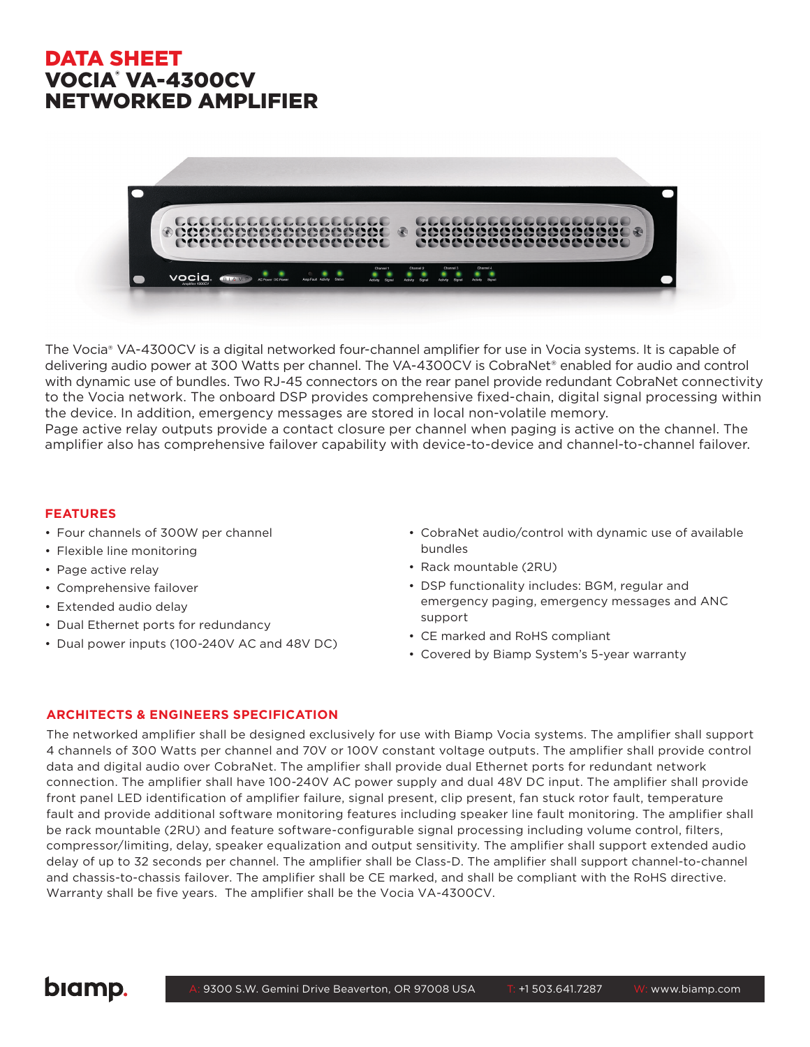# DATA SHEET VOCIA® VA-4300CV NETWORKED AMPLIFIER



The Vocia® VA-4300CV is a digital networked four-channel amplifier for use in Vocia systems. It is capable of delivering audio power at 300 Watts per channel. The VA-4300CV is CobraNet® enabled for audio and control with dynamic use of bundles. Two RJ-45 connectors on the rear panel provide redundant CobraNet connectivity to the Vocia network. The onboard DSP provides comprehensive fixed-chain, digital signal processing within the device. In addition, emergency messages are stored in local non-volatile memory.

Page active relay outputs provide a contact closure per channel when paging is active on the channel. The amplifier also has comprehensive failover capability with device-to-device and channel-to-channel failover.

#### **FEATURES**

- Four channels of 300W per channel
- Flexible line monitoring
- Page active relay
- Comprehensive failover
- Extended audio delay
- Dual Ethernet ports for redundancy
- Dual power inputs (100-240V AC and 48V DC)
- CobraNet audio/control with dynamic use of available bundles
- Rack mountable (2RU)
- DSP functionality includes: BGM, regular and emergency paging, emergency messages and ANC support
- CE marked and RoHS compliant
- Covered by Biamp System's 5-year warranty

### **ARCHITECTS & ENGINEERS SPECIFICATION**

The networked amplifier shall be designed exclusively for use with Biamp Vocia systems. The amplifier shall support 4 channels of 300 Watts per channel and 70V or 100V constant voltage outputs. The amplifier shall provide control data and digital audio over CobraNet. The amplifier shall provide dual Ethernet ports for redundant network connection. The amplifier shall have 100-240V AC power supply and dual 48V DC input. The amplifier shall provide front panel LED identification of amplifier failure, signal present, clip present, fan stuck rotor fault, temperature fault and provide additional software monitoring features including speaker line fault monitoring. The amplifier shall be rack mountable (2RU) and feature software-configurable signal processing including volume control, filters, compressor/limiting, delay, speaker equalization and output sensitivity. The amplifier shall support extended audio delay of up to 32 seconds per channel. The amplifier shall be Class-D. The amplifier shall support channel-to-channel and chassis-to-chassis failover. The amplifier shall be CE marked, and shall be compliant with the RoHS directive. Warranty shall be five years. The amplifier shall be the Vocia VA-4300CV.